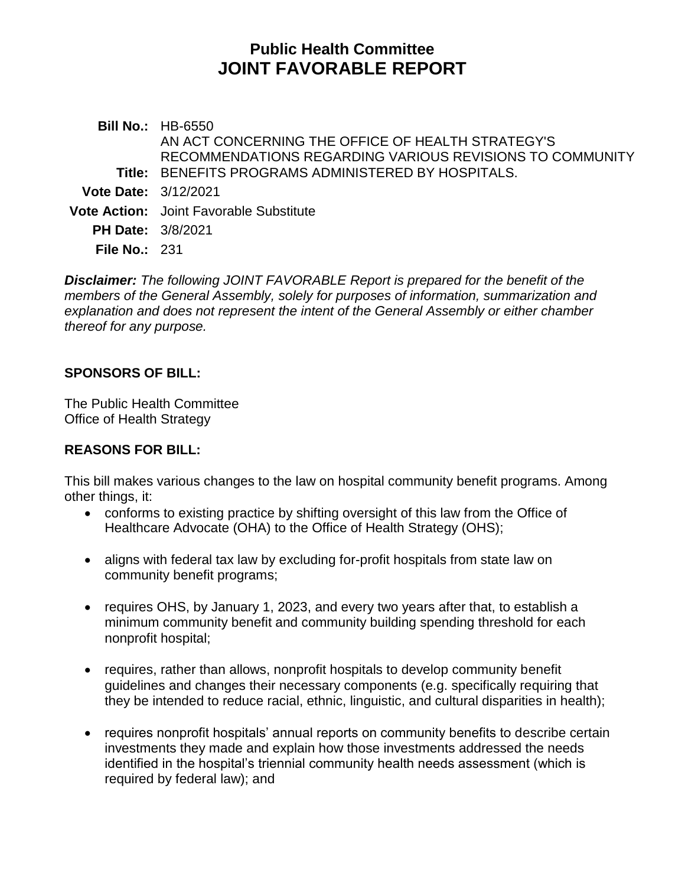# **Public Health Committee JOINT FAVORABLE REPORT**

**Bill No.:** HB-6550 **Title:** BENEFITS PROGRAMS ADMINISTERED BY HOSPITALS. AN ACT CONCERNING THE OFFICE OF HEALTH STRATEGY'S RECOMMENDATIONS REGARDING VARIOUS REVISIONS TO COMMUNITY **Vote Date:** 3/12/2021 **Vote Action:** Joint Favorable Substitute **PH Date:** 3/8/2021 **File No.:** 231

*Disclaimer: The following JOINT FAVORABLE Report is prepared for the benefit of the members of the General Assembly, solely for purposes of information, summarization and explanation and does not represent the intent of the General Assembly or either chamber thereof for any purpose.*

#### **SPONSORS OF BILL:**

The Public Health Committee Office of Health Strategy

#### **REASONS FOR BILL:**

This bill makes various changes to the law on hospital community benefit programs. Among other things, it:

- conforms to existing practice by shifting oversight of this law from the Office of Healthcare Advocate (OHA) to the Office of Health Strategy (OHS);
- aligns with federal tax law by excluding for-profit hospitals from state law on community benefit programs;
- requires OHS, by January 1, 2023, and every two years after that, to establish a minimum community benefit and community building spending threshold for each nonprofit hospital;
- requires, rather than allows, nonprofit hospitals to develop community benefit guidelines and changes their necessary components (e.g. specifically requiring that they be intended to reduce racial, ethnic, linguistic, and cultural disparities in health);
- requires nonprofit hospitals' annual reports on community benefits to describe certain investments they made and explain how those investments addressed the needs identified in the hospital's triennial community health needs assessment (which is required by federal law); and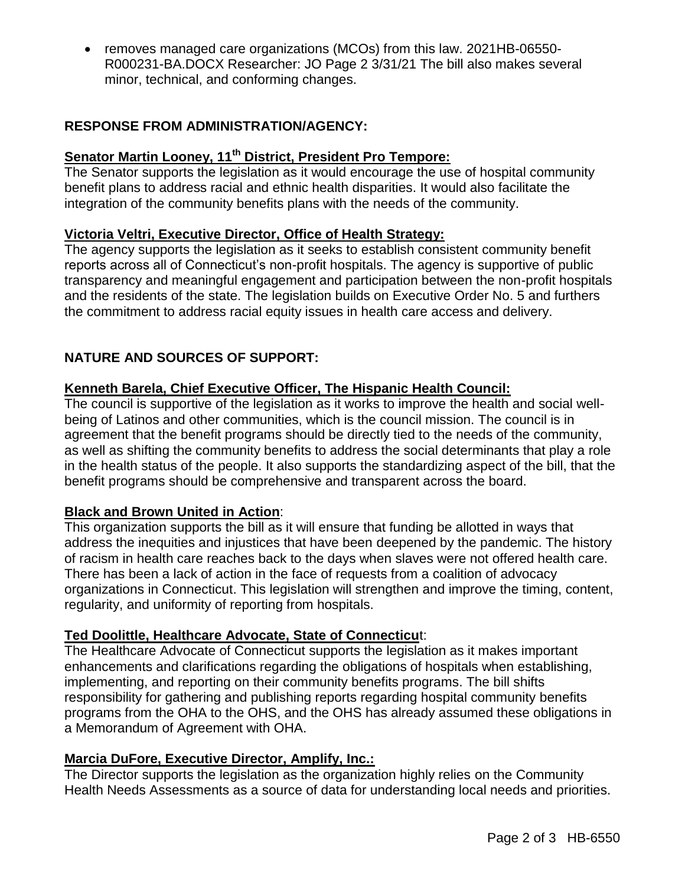removes managed care organizations (MCOs) from this law. 2021HB-06550- R000231-BA.DOCX Researcher: JO Page 2 3/31/21 The bill also makes several minor, technical, and conforming changes.

# **RESPONSE FROM ADMINISTRATION/AGENCY:**

# **Senator Martin Looney, 11th District, President Pro Tempore:**

The Senator supports the legislation as it would encourage the use of hospital community benefit plans to address racial and ethnic health disparities. It would also facilitate the integration of the community benefits plans with the needs of the community.

#### **Victoria Veltri, Executive Director, Office of Health Strategy:**

The agency supports the legislation as it seeks to establish consistent community benefit reports across all of Connecticut's non-profit hospitals. The agency is supportive of public transparency and meaningful engagement and participation between the non-profit hospitals and the residents of the state. The legislation builds on Executive Order No. 5 and furthers the commitment to address racial equity issues in health care access and delivery.

# **NATURE AND SOURCES OF SUPPORT:**

#### **Kenneth Barela, Chief Executive Officer, The Hispanic Health Council:**

The council is supportive of the legislation as it works to improve the health and social wellbeing of Latinos and other communities, which is the council mission. The council is in agreement that the benefit programs should be directly tied to the needs of the community, as well as shifting the community benefits to address the social determinants that play a role in the health status of the people. It also supports the standardizing aspect of the bill, that the benefit programs should be comprehensive and transparent across the board.

#### **Black and Brown United in Action**:

This organization supports the bill as it will ensure that funding be allotted in ways that address the inequities and injustices that have been deepened by the pandemic. The history of racism in health care reaches back to the days when slaves were not offered health care. There has been a lack of action in the face of requests from a coalition of advocacy organizations in Connecticut. This legislation will strengthen and improve the timing, content, regularity, and uniformity of reporting from hospitals.

#### **Ted Doolittle, Healthcare Advocate, State of Connecticu**t:

The Healthcare Advocate of Connecticut supports the legislation as it makes important enhancements and clarifications regarding the obligations of hospitals when establishing, implementing, and reporting on their community benefits programs. The bill shifts responsibility for gathering and publishing reports regarding hospital community benefits programs from the OHA to the OHS, and the OHS has already assumed these obligations in a Memorandum of Agreement with OHA.

#### **Marcia DuFore, Executive Director, Amplify, Inc.:**

The Director supports the legislation as the organization highly relies on the Community Health Needs Assessments as a source of data for understanding local needs and priorities.